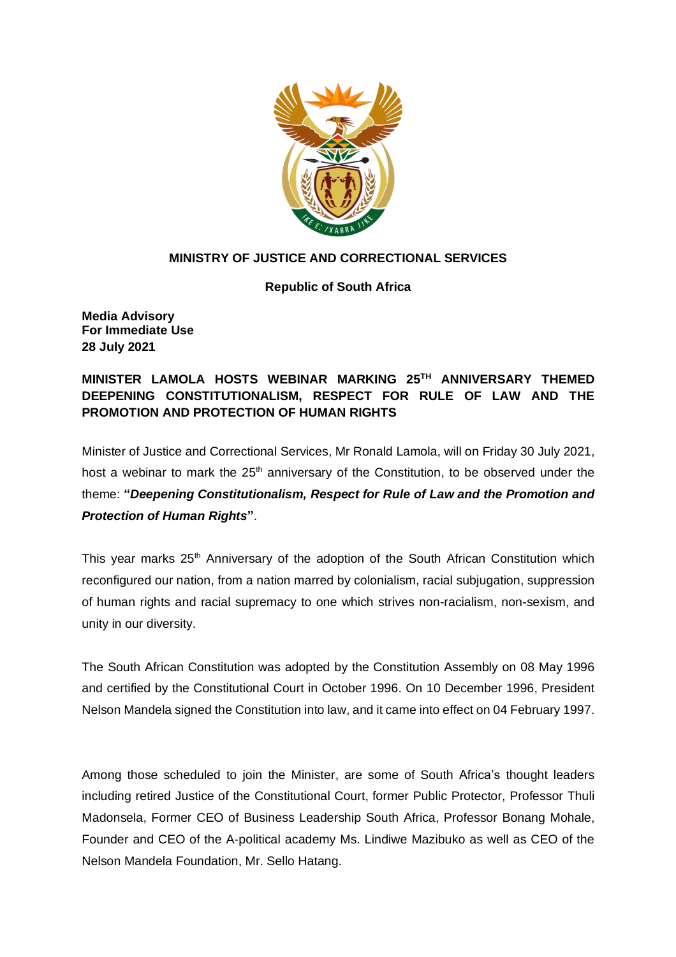

## **MINISTRY OF JUSTICE AND CORRECTIONAL SERVICES**

**Republic of South Africa**

**Media Advisory For Immediate Use 28 July 2021**

**MINISTER LAMOLA HOSTS WEBINAR MARKING 25TH ANNIVERSARY THEMED DEEPENING CONSTITUTIONALISM, RESPECT FOR RULE OF LAW AND THE PROMOTION AND PROTECTION OF HUMAN RIGHTS**

Minister of Justice and Correctional Services, Mr Ronald Lamola, will on Friday 30 July 2021, host a webinar to mark the 25<sup>th</sup> anniversary of the Constitution, to be observed under the theme: **"***Deepening Constitutionalism, Respect for Rule of Law and the Promotion and Protection of Human Rights***"**.

This year marks 25<sup>th</sup> Anniversary of the adoption of the South African Constitution which reconfigured our nation, from a nation marred by colonialism, racial subjugation, suppression of human rights and racial supremacy to one which strives non-racialism, non-sexism, and unity in our diversity.

The South African Constitution was adopted by the Constitution Assembly on 08 May 1996 and certified by the Constitutional Court in October 1996. On 10 December 1996, President Nelson Mandela signed the Constitution into law, and it came into effect on 04 February 1997.

Among those scheduled to join the Minister, are some of South Africa's thought leaders including retired Justice of the Constitutional Court, former Public Protector, Professor Thuli Madonsela, Former CEO of Business Leadership South Africa, Professor Bonang Mohale, Founder and CEO of the A-political academy Ms. Lindiwe Mazibuko as well as CEO of the Nelson Mandela Foundation, Mr. Sello Hatang.